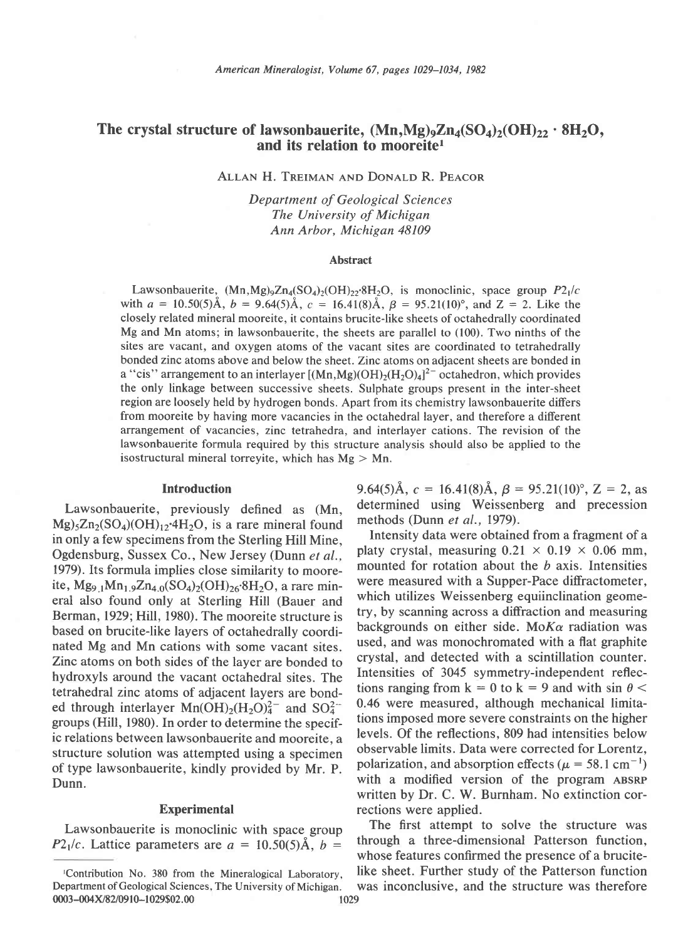# The crystal structure of lawsonbauerite,  $(Mn, Mg)_{9}Zn_{4}(SO_{4})_{2}(OH)_{22} \cdot 8H_{2}O$ , and its relation to mooreitel

ALLAN H. TREIMAN AND DONALD R. PEACOR

Department of Geological Sciences The University of Michigan Ann Arbor, Michtean 48109

#### Abstract

Lawsonbauerite,  $(Mn, Mg)_9Zn_4(SO_4)_2(OH)_{22}BH_2O$ , is monoclinic, space group  $P2_1/c$ with  $a = 10.50(5)$ Å,  $b = 9.64(5)$ Å,  $c = 16.41(8)$ Å,  $\beta = 95.21(10)^\circ$ , and  $Z = 2$ . Like the closely related mineral mooreite, it contains brucite-like sheets of octahedrally coordinated Mg and Mn atoms; in lawsonbauerite, the sheets are parallel to (100). Two ninths of the sites are vacant, and oxygen atoms of the vacant sites are coordinated to tetrahedrally bonded zinc atoms above and below the sheet. Zinc atoms on adjacent sheets are bonded in a "cis" arrangement to an interlayer  $[(Mn,Mg)(OH)<sub>2</sub>(H<sub>2</sub>O)<sub>4</sub>]<sup>2-</sup>$  octahedron, which provides the only linkage between successive sheets. Sulphate groups present in the inter-sheet region are loosely held by hydrogen bonds. Apart from its chemistry lawsonbauerite differs from mooreite by having more vacancies in the octahedral layer, and therefore a different arrangement of vacancies, zinc tetrahedra, and interlayer cations. The revision of the lawsonbauerite formula required by this structure analysis should also be applied to the isostructural mineral torreyite, which has  $Mg > Mn$ .

#### Introduction

Lawsonbauerite, previously defined as (Mn,  $Mg_3Zn_2(SO_4)(OH)_{12}$ .4H<sub>2</sub>O, is a rare mineral found in only a few specimens from the Sterling Hill Mine, Ogdensburg, Sussex Co., New Jersey (Dunn et al., 1979). Its formula implies close similarity to mooreite,  $Mg_{9,1}Mn_{1,9}Zn_{4,0}(SO_4)_2(OH)_{26}8H_2O$ , a rare mineral also found only at Sterling Hill (Bauer and Berman, 1929; Hill, 1980). The mooreite structure is based on brucite-like layers of octahedrally coordinated Mg and Mn cations with some vacant sites. Zinc atoms on both sides of the layer are bonded to hydroxyls around the vacant octahedral sites. The tetrahedral zinc atoms of adjacent layers are bonded through interlayer  $Mn(OH)_{2}(H_{2}O)_{4}^{2-}$  and  $SO_{4}^{2-}$ groups (Hill, 1980). In order to determine the specific relations between lawsonbauerite and mooreite, a structure solution was attempted using a specimen of type lawsonbauerite, kindly provided by Mr. P. Dunn.

#### Experimental

Lawsonbauerite is monoclinic with space group P2<sub>1</sub>/c. Lattice parameters are  $a = 10.50(5)$ Å,  $b =$ 

9.64(5)Å,  $c = 16.41(8)$ Å,  $\beta = 95.21(10)^\circ$ ,  $Z = 2$ , as determined using Weissenberg and precession methods (Dunn et al., 1979).

Intensity data were obtained from a fragment of a platy crystal, measuring  $0.21 \times 0.19 \times 0.06$  mm, mounted for rotation about the  $b$  axis. Intensities were measured with a Supper-Pace diffractometer, which utilizes Weissenberg equiinclination geometry, by scanning across a diffraction and measuring backgrounds on either side. Mo $K\alpha$  radiation was used, and was monochromated with a flat graphite crystal, and detected with a scintillation counter. Intensities of 3045 symmetry-independent reflections ranging from  $k = 0$  to  $k = 9$  and with sin  $\theta$  < 0.46 were measured, although mechanical limitations imposed more severe constraints on the higher levels. Of the reflections. 809 had intensities below observable limits. Data were corrected for Lorentz, polarization, and absorption effects ( $\mu = 58.1 \text{ cm}^{-1}$ ) with a modified version of the program ABSRP written by Dr. C. W. Burnham. No extinction corrections were applied.

The first attempt to solve the structure was through a three-dimensional Patterson function, whose features confirmed the presence of a brucite- ,Contribution No. 380 from rhe Mineralogical Laborarory, like sheet. Further study of the Patterson function

Department of Geological Sciences, The University of Michigan. was inconclusive, and the structure was therefore 0003-004X/82/0910-1029\$02.00 1029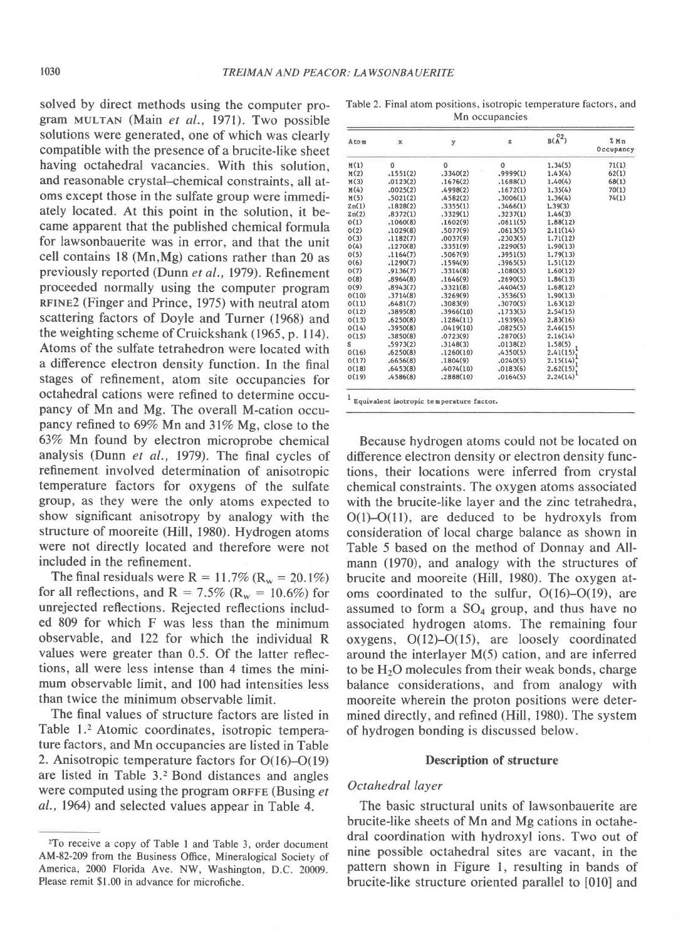solved by direct methods using the computer program MULTaN (Main et al., 1971). Two possible solutions were generated, one of which was clearly compatible with the presence of a brucite-like sheet having octahedral vacancies. With this solution, and reasonable crystal-chemical constraints, all atoms except those in the sulfate group were immediately located. At this point in the solution, it became apparent that the published chemical formula for lawsonbauerite was in error, and that the unit cell contains l8 (Mn,Mg) cations rather than 20 as previously reported (Dunn et al., 1979). Refinement proceeded normally using the computer program RFINE2 (Finger and Prince, 1975) with neutral atom scattering factors of Doyle and Turner (1968) and the weighting scheme of Cruickshank (1965, p. 114). Atoms of the sulfate tetrahedron were located with a difference electron density function. In the final stages of refinement, atom site occupancies for octahedral cations were refined to determine occupancy of Mn and Mg. The overall M-cation occupancy refined to 69% Mn and 31% Mg, close to the 63% Mn found by electron microprobe chemical analysis (Dunn et al., 1979). The final cycles of refinement involved determination of anisotropic temperature factors for oxygens of the sulfate group, as they were the only atoms expected to show significant anisotropy by analogy with the structure of mooreite (Hill, 1980). Hydrogen atoms were not directly located and therefore were not included in the refinement.

The final residuals were R = 11.7% ( $R_w = 20.1\%$ ) for all reflections, and R = 7.5% ( $R_w$  = 10.6%) for unrejected reflections. Rejected reflections included 809 for which F was less than the minimum observable, and 122 for which the individual R values were greater than 0.5. Of the latter reflections, all were less intense than 4 times the minimum observable limit, and 100 had intensities less than twice the minimum observable limit.

The final values of structure factors are listed in Table 1.2 Atomic coordinates, isotropic temperature factors, and Mn occupancies are listed in Table 2. Anisotropic temperature factors for 0(16)-0(19) are listed in Table 3.2 Bond distances and angles were computed using the program ORFFE (Busing et al., 1964) and selected values appear in Table 4.

Table 2. Final atom positions, isotropic temperature factors, and Mn occupancies

| Atom  | $\mathbf x$ | ÿ            | z            | $B(\stackrel{0}{A}^2)$ | $%$ Mn<br>Occupancy |
|-------|-------------|--------------|--------------|------------------------|---------------------|
| M(1)  | 0           | $\mathbf{0}$ | $\mathbf{0}$ | 1,34(5)                | 71(1)               |
| M(2)  | .1551(2)    | .3340(2)     | .9999(1)     | 1.43(4)                | 62(1)               |
| M(3)  | .0123(2)    | .1676(2)     | .1688(1)     | 1.40(4)                | 68(1)               |
| M(4)  | 0025(2)     | .4998(2)     | .1672(1)     | 1,35(4)                | 70(1)               |
| M(5)  | .5021(2)    | .4582(2)     | .3006(1)     | 1.36(4)                | 74(1)               |
| Zn(1) | .1828(2)    | .3355(1)     | .3466(1)     | 1.39(3)                |                     |
| 2n(2) | .8372(1)    | .3329(1)     | .3237(1)     | 1.46(3)                |                     |
| O(1)  | .1060(8)    | .1602(9)     | .0611(5)     | 1.88(12)               |                     |
| O(2)  | .1029(8)    | .5077(9)     | .0613(5)     | 2.11(14)               |                     |
| O(3)  | .1182(7)    | .0037(9)     | .2303(5)     | 1.71(12)               |                     |
| O(4)  | .1270(8)    | .3351(9)     | .2290(5)     | 1.90(13)               |                     |
| O(5)  | .1164(7)    | .5067(9)     | .3951(5)     | 1,79(13)               |                     |
| O(6)  | .1290(7)    | .1594(9)     | .3965(5)     | 1.51(12)               |                     |
| O(7)  | .9136(7)    | .3314(8)     | .1080(5)     | 1,60(12)               |                     |
| O(8)  | .8964(8)    | .1646(9)     | .2690(5)     | 1.86(13)               |                     |
| O(9)  | .8943(7)    | .3321(8)     | .4404(5)     | 1.68(12)               |                     |
| O(10) | .3714(8)    | .3269(9)     | .3536(5)     | 1.90(13)               |                     |
| O(11) | .6481(7)    | .3083(9)     | .3070(5)     | 1.63(12)               |                     |
| O(12) | .3895(8)    | .3966(10)    | .1733(5)     | 2.54(15)               |                     |
| O(13) | .6250(8)    | .1284(11)    | .1939(6)     | 2.83(16)               |                     |
| O(14) | .3950(8)    | .0419(10)    | .0825(5)     | 2.46(15)               |                     |
| 0(15) | .3850(8)    | .0723(9)     | , 2870(5)    | 2.16(14)               |                     |
| S     | .5973(2)    | .3148(3)     | .0138(2)     | 1.58(5)                |                     |
| O(16) | .6250(8)    | .1260(10)    | .4350(5)     | 2.41(15)               |                     |
| O(17) | .6656(8)    | .1804(9)     | .0240(5)     | 2.15(14)               |                     |
| O(18) | .6453(8)    | .4074(10)    | .0183(6)     | 2.62(15)               |                     |
| O(19) | .4586(8)    | .2888(10)    | .0164(5)     | 2.24(14)               |                     |

Because hydrogen atoms could not be located on difference electron density or electron density functions, their locations were inferred from crystal chemical constraints. The oxygen atoms associated with the brucite-like layer and the zinc tetrahedra, O(l)-O(11), are deduced to be hydroxyls from consideration of local charge balance as shown in Table 5 based on the method of Donnay and Allmann (1970), and analogy with the structures of brucite and mooreite (Hill, 1980). The oxygen atoms coordinated to the sulfur, 0(16)-0(19), are assumed to form a  $SO<sub>4</sub>$  group, and thus have no associated hydrogen atoms. The remaining four oxygens, O(12)-O(15), are loosely coordinated around the interlayer M(5) cation, and are inferred to be  $H<sub>2</sub>O$  molecules from their weak bonds, charge balance considerations, and from analogy with mooreite wherein the proton positions were determined directly, and refined (Hill, 1980). The system of hydrogen bonding is discussed below.

#### Description of structure

# Octahedral layer

The basic structural units of lawsonbauerite are brucite-like sheets of Mn and Mg cations in octahedral coordination with hydroxyl ions. Two out of nine possible octahedral sites are vacant, in the pattern shown in Figure l, resulting in bands of brucite-like structure oriented parallel to [010] and

<sup>2</sup>To receive a copy of Table I and Table 3, order document AM-82-209 from the Business Office, Mineralogical Society of America, 2000 Florida Ave. NW, Washington, D.C. 20009. Please remit \$1.00 in advance for microfiche.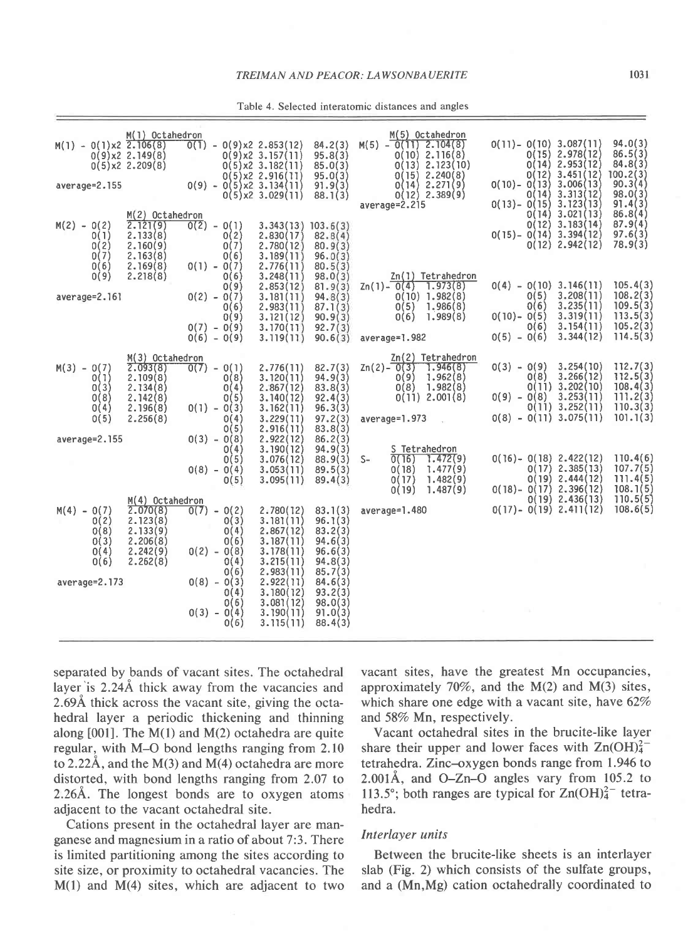|  |  | Table 4. Selected interatomic distances and angles |  |  |  |  |
|--|--|----------------------------------------------------|--|--|--|--|
|--|--|----------------------------------------------------|--|--|--|--|

| $M(1) - O(1)x2$ 2.106(8)<br>average=2.155             | M(1) Octahedron<br>0(9)x2 2.149(8)<br>0(5)x2 2.209(8)                                     |                                                 |                                      | $\overline{0(1)}$ - 0(9)x2 2.853(12)<br>$0(9)x2 \t3.157(11)$<br>$0(5)x2$ 3.182(11)<br>$0(9) - 0(5) \times 2$ 2.916(11)<br>0(9) - 0(5) x2 3.134(11)<br>$0(5)x2 \t3.029(11)$ | 84.2(3)<br>95.8(3)<br>85.0(3)<br>$95.0(3)$<br>91.9(3)<br>88.1(3)          | M(5) Octahedron<br>$M(5) - O(11) 2.104(8)$<br>$0(10)$ 2.116(8)<br>$0(13)$ 2.123(10)<br>$0(15)$ 2.240(8)<br>0(14) 2.271(9)<br>$0(12)$ 2.389(9)<br>average=2.215                                             | $0(11) - 0(10) 3.087(11)$<br>$0(10) - 0(12)$ 3.451(12)<br>0(10) - 0(13) 3.006(13)<br>0(14)<br>$0(13) - 0(15)$ | $0(15)$ 2.978(12)<br>$0(14)$ 2.953(12)<br>3.313(12)<br>3.123(13) | 94.0(3)<br>86.5(3)<br>84.8(3)<br>100.2(3)<br>90.3(4)<br>98.0(3)<br>91.4(3) |
|-------------------------------------------------------|-------------------------------------------------------------------------------------------|-------------------------------------------------|--------------------------------------|----------------------------------------------------------------------------------------------------------------------------------------------------------------------------|---------------------------------------------------------------------------|------------------------------------------------------------------------------------------------------------------------------------------------------------------------------------------------------------|---------------------------------------------------------------------------------------------------------------|------------------------------------------------------------------|----------------------------------------------------------------------------|
| $M(2) - O(2)$<br>0(1)<br>0(2)<br>0(7)<br>0(6)         | $M(2)$ Octahedron<br>2.121(9)<br>2.133(8)<br>2.160(9)<br>2.163(8)<br>2.169(8)             | $0(2) - 0(1)$<br>$0(1) - 0(7)$                  | 0(2)<br>0(7)<br>0(6)                 | $3.343(13)$ $103.6(3)$<br>2.830(17)<br>2.780(12)<br>3.189(11)<br>2.776(11)                                                                                                 | 82.8(4)<br>80.9(3)<br>96.0(3)<br>80.5(3)                                  |                                                                                                                                                                                                            | 0(12)<br>$0(15) - 0(14)$ 3.394(12)                                                                            | $0(14)$ 3.021(13)<br>3.183(14)<br>$0(12)$ 2.942(12)              | 86.8(4)<br>87.9(4)<br>97.6(3)<br>78.9(3)                                   |
| 0(9)<br>$average=2.161$                               | 2.218(8)                                                                                  | $0(2) - 0(7)$<br>$0(7) - 0(9)$<br>$0(6) - 0(9)$ | 0(6)<br>0(9)<br>0(6)<br>0(9)         | 3.248(11)<br>2.853(12)<br>3.181(11)<br>2.983(11)<br>3.121(12)<br>3.170(11)<br>3.119(11)                                                                                    | 98.0(3)<br>81.9(3)<br>94.8(3)<br>87.1(3)<br>90.9(3)<br>92.7(3)            | $2n(1)$ Tetrahedron<br>$\text{Zn}(1) - \text{O}(4)$ 1.973(8)<br>$0(10)$ 1.982(8)<br>$0(5)$ 1.986(8)<br>0(6) 1.989(8)<br>90.6(3) average=1.982                                                              | $0(4) - 0(10)$ 3.146(11)<br>0(5)<br>0(6)<br>$0(10) - 0(5)$<br>0(6)<br>$0(5) - 0(6)$                           | 3.208(11)<br>3.235(11)<br>3.319(11)<br>3.154(11)<br>3.344(12)    | 105.4(3)<br>108.2(3)<br>109.5(3)<br>113.5(3)<br>105.2(3)<br>114.5(3)       |
| $M(3) - O(7)$<br>0(1)<br>0(3)<br>0(8)<br>0(4)<br>0(5) | M(3) Octahedron<br>2.093(8)<br>2.109(8)<br>2.134(8)<br>2.142(8)<br>2.196(8)<br>2.256(8)   | $\overline{0(7)} - 0(1)$<br>$0(1) - 0(3)$       | 0(8)<br>0(4)<br>0(5)<br>0(4)         | 2,776(11)<br>3.120(11)<br>2.867(12)<br>3.140(12)<br>3.162(11)<br>3.229(11)                                                                                                 | 82.7(3)<br>94.9(3)<br>83.8(3)<br>92.4(3)<br>96.3(3)<br>97.2(3)            | $Zn(2)$ Tetrahedron<br>$\text{Zn}(2) - \text{O}(3)$<br>7.946(8)<br>1.962(8)<br>0(9)<br>$0(8)$ 1.982(8) $0(11)$ 3.202(10)<br>0(11) 2.001(8) 0(9) - 0(8) 3.253(11)<br>average=1.973 $0(8) - 0(11) 3.075(11)$ | $0(3) - 0(9)$<br>0(8)                                                                                         | 3.254(10)<br>3.266(12)<br>$0(11)$ 3.252(11)                      | 112.7(3)<br>112.5(3)<br>108.4(3)<br>111.2(3)<br>110.3(3)<br>101.1(3)       |
| average=2.155                                         |                                                                                           | $0(3) - 0(8)$<br>$0(8) - 0(4)$                  | 0(5)<br>O(4)<br>0(5)<br>0(5)         | 2.916(11)<br>2.922(12)<br>3.190(12)<br>3.076(12)<br>3.053(11)<br>3.095(11)                                                                                                 | 83.8(3)<br>86.2(3)<br>94.9(3)<br>88.9(3)<br>89.5(3)<br>89.4(3)            | S Tetrahedron<br>$\overline{0(16)}$<br>$S-$<br>1.472(9)<br>0(18)<br>1.477(9)<br>1.482(9)<br>0(17)<br>1.482(9)<br>1.487(9)<br>0(19)                                                                         | $0(16) - 0(18)$ 2.422(12)<br>$0(18) - 0(17)$ 2.396(12)                                                        | $0(17)$ 2.385(13)<br>$0(19)$ 2.444(12)<br>$0(19)$ 2.436(13)      | 110.4(6)<br>107.7(5)<br>111.4(5)<br>108.1(5)<br>110.5(5)                   |
| $M(4) - O(7)$<br>0(2)<br>0(8)<br>0(3)<br>0(4)<br>0(6) | $M(4)$ Octahedron<br>2.070(8)<br>2.123(8)<br>2.133(9)<br>2,206(8)<br>2.242(9)<br>2.262(8) | $0(7) - 0(2)$<br>$0(2) - 0(8)$                  | O(3)<br>0(4)<br>0(6)<br>O(4)<br>0(6) | 2.780(12)<br>3.181(11)<br>2.867(12)<br>3.187(11)<br>3.178(11)<br>3.215(11)<br>2.983(11)                                                                                    | 83.1(3)<br>96.1(3)<br>83.2(3)<br>94.6(3)<br>96.6(3)<br>94.8(3)<br>85.7(3) | average=1.480                                                                                                                                                                                              | $0(17) - 0(19)$ 2.411(12)                                                                                     |                                                                  | 108.6(5)                                                                   |
| average=2.173                                         |                                                                                           | $0(8) - 0(3)$<br>$0(3) - 0(4)$                  | 0(4)<br>0(6)<br>0(6)                 | 2.922(11)<br>3.180(12)<br>3.081(12)<br>3.190(11)<br>3.115(11)                                                                                                              | 84.6(3)<br>93.2(3)<br>98.0(3)<br>91.0(3)<br>88.4(3)                       |                                                                                                                                                                                                            |                                                                                                               |                                                                  |                                                                            |

separated by bands of vacant sites. The octahedral layer'is 2.244 thick away from the vacancies and 2.69A thick across the vacant site, giving the octahedral layer a periodic thickening and thinning along [001]. The M(1) and M(2) octahedra are quite regular, with M-O bond lengths ranging from 2.10 to 2.22Å, and the  $M(3)$  and  $M(4)$  octahedra are more distorted, with bond lengths ranging from 2.07 to 2.264. The longest bonds are to oxygen atoms adjacent to the vacant octahedral site.

Cations present in the octahedral layer are manganese and magnesium in a ratio of about 7:3. There is limited partitioning among the sites according to site size, or proximity to octahedral vacancies. The M(1) and M(4) sites, which are adjacent to two

vacant sites, have the greatest Mn occupancies, approximately 70%, and the  $M(2)$  and  $M(3)$  sites, which share one edge with a vacant site, have  $62\%$ and 58% Mn, respectively.

Vacant octahedral sites in the brucite-like layer share their upper and lower faces with  $Zn(OH)<sub>4</sub><sup>2</sup>$ tetrahedra. Zinc-oxygen bonds range from 1.946 to 2.0014, and O-Zn-O angles vary from 105.2 to 113.5°; both ranges are typical for  $Zn(OH)<sub>4</sub><sup>2</sup>$  tetrahedra.

## Interlayer units

Between the brucite-like sheets is an interlayer slab (Fig. 2) which consists of the sulfate groups, and a (Mn,Mg) cation octahedrally coordinated to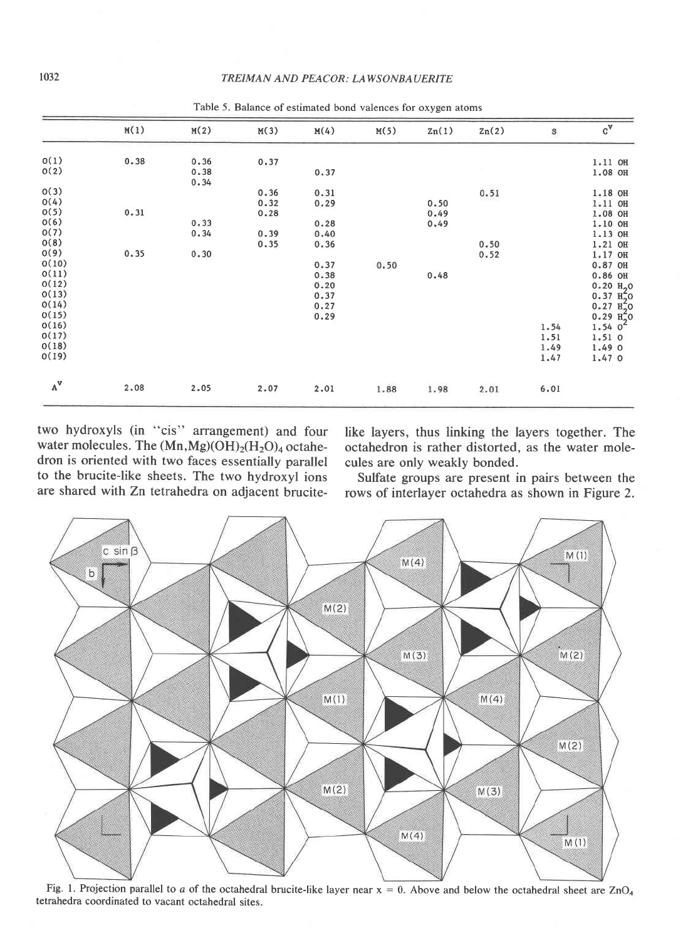| M(2)         |      |      |      |       |       |      |                                              |
|--------------|------|------|------|-------|-------|------|----------------------------------------------|
|              | M(3) | M(4) | M(5) | 2n(1) | 2n(2) | S    | $c^{\mathbf{v}}$                             |
| 0.36         | 0.37 |      |      |       |       |      | 1.11 OH                                      |
| 0.38<br>0.34 |      | 0.37 |      |       |       |      | 1.08 OH                                      |
|              | 0.36 | 0.31 |      |       | 0.51  |      | 1.18 OH                                      |
|              | 0.32 | 0.29 |      | 0.50  |       |      | 1.11 OH                                      |
|              | 0.28 |      |      | 0.49  |       |      | 1.08 OH                                      |
| 0.33         |      | 0.28 |      | 0.49  |       |      | 1.10 OH                                      |
| 0.34         | 0.39 | 0.40 |      |       |       |      | 1.13 OH                                      |
|              | 0.35 | 0.36 |      |       | 0.50  |      | 1.21 OH                                      |
| 0.30         |      |      |      |       | 0.52  |      | 1.17 OH                                      |
|              |      | 0.37 | 0.50 |       |       |      | $0.87$ OH                                    |
|              |      | 0.38 |      | 0.48  |       |      | $0.86$ OH                                    |
|              |      | 0.20 |      |       |       |      | 0.20 $H_2$ 0<br>0.37 $H_2$ 0<br>0.27 $H_2$ 0 |
|              |      | 0.37 |      |       |       |      |                                              |
|              |      | 0.27 |      |       |       |      |                                              |
|              |      | 0.29 |      |       |       |      | $0.29$ $\frac{12}{1.54}$                     |
|              |      |      |      |       |       | 1.54 |                                              |
|              |      |      |      |       |       | 1.51 | 1.51 0                                       |
|              |      |      |      |       |       | 1.49 | 1.490                                        |
|              |      |      |      |       |       | 1.47 | 1.47 0                                       |
| 2.05         | 2.07 | 2.01 | 1.88 | 1.98  | 2.01  | 6.01 |                                              |
|              |      |      |      |       |       |      |                                              |

Table 5. Balance of estimated bond valences for oxygen atoms

two hydroxyls (in "cis" arrangement) and four water molecules. The  $(Mn, Mg)(OH)_2(H_2O)_4$  octahedron is oriented with two faces essentially parallel to the brucite-like sheets. The two hydroxyl ions are shared with Zn tetrahedra on adjacent brucite-

like layers, thus linking the layers together. The octahedron is rather distorted. as the water molecules are only weakly bonded.

Sulfate groups are present in pairs between the rows of interlayer octahedra as shown in Figure 2.



Fig. 1. Projection parallel to a of the octahedral brucite-like layer near  $x = 0$ . Above and below the octahedral sheet are ZnO<sub>4</sub> tetrahedra coordinated to vacant octahedral sites.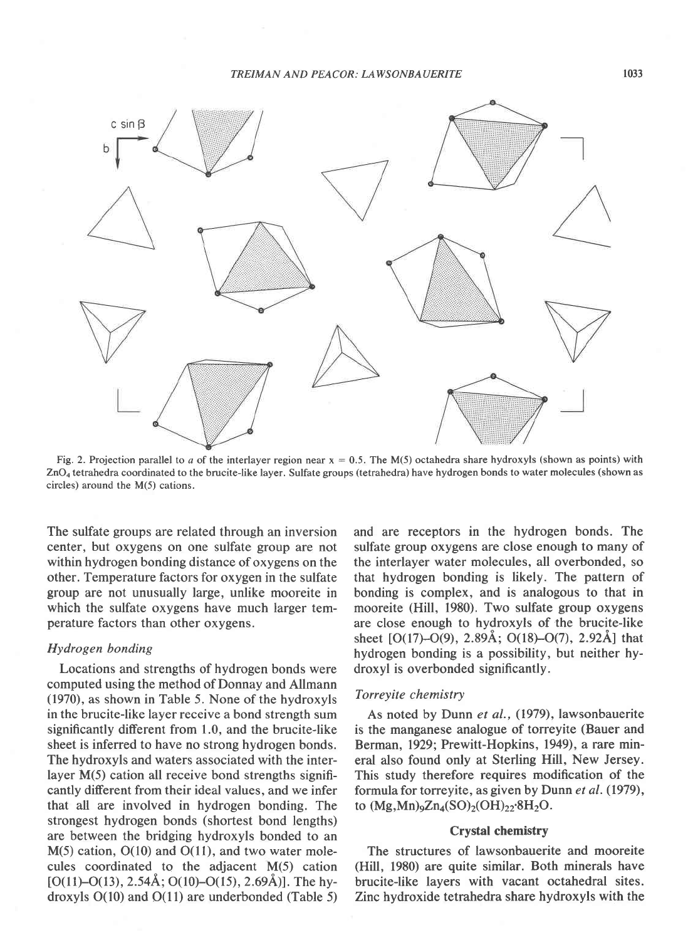

Fig. 2. Projection parallel to a of the interlayer region near  $x = 0.5$ . The M(5) octahedra share hydroxyls (shown as points) with ZnOa tetrahedra coordinated to the brucite-like layer. Sulfate groups (tetrahedra) have hydrogen bonds to water molecules (shown as circles) around the M(5) cations.

The sulfate groups are related through an inversion center, but oxygens on one sulfate group are not within hydrogen bonding distance of oxygens on the other. Temperature factors for oxygen in the sulfate group are not unusually large, unlike mooreite in which the sulfate oxygens have much larger temperature factors than other oxygens.

# Hydrogen bonding

Locations and strengths of hydrogen bonds were computed using the method of Donnay and Allmann (1970), as shown in Table 5. None of the hydroxyls in the brucite-like layer receive a bond strength sum significantly different from 1.0, and the brucite-like sheet is inferred to have no strong hydrogen bonds. The hydroxyls and waters associated with the interlayer M(5) cation all receive bond strengths significantly different from their ideal values, and we infer that all are involved in hydrogen bonding. The strongest hydrogen bonds (shortest bond lengths) are between the bridging hydroxyls bonded to an  $M(5)$  cation,  $O(10)$  and  $O(11)$ , and two water molecules coordinated to the adjacent M(5) cation [O(11)–O(13), 2.54Å; O(10)–O(15), 2.69Å)]. The hydroxyls O(10) and O(11) are underbonded (Table 5) and are receptors in the hydrogen bonds. The sulfate group oxygens are close enough to many of the interlayer water molecules, all overbonded, so that hydrogen bonding is likely. The pattern of bonding is complex, and is analogous to that in mooreite (Hill, 1980). Two sulfate group oxygens are close enough to hydroxyls of the brucite-like sheet  $[O(17)-O(9), 2.89\text{\AA}; O(18)-O(7), 2.92\text{\AA}]$  that hydrogen bonding is a possibility, but neither hydroxyl is overbonded significantly.

### Torreyite chemistry

As noted by Dunn et al., (1979), lawsonbauerite is the manganese analogue of torreyite (Bauer and Berman, 1929; Prewitt-Hopkins, 1949), a rare mineral also found only at Sterling Hill, New Jersey. This study therefore requires modification of the formula for torreyite, as given by Dunn et al. (1979), to  $(Mg, Mn)_9Zn_4(SO)_2(OH)_{22}·8H_2O$ .

# Crystal chemistry

The structures of lawsonbauerite and mooreite (HilI, 1980) are quite similar. Both minerals have brucite-like layers with vacant octahedral sites. Zinc hydroxide tetrahedra share hydroxyls with the